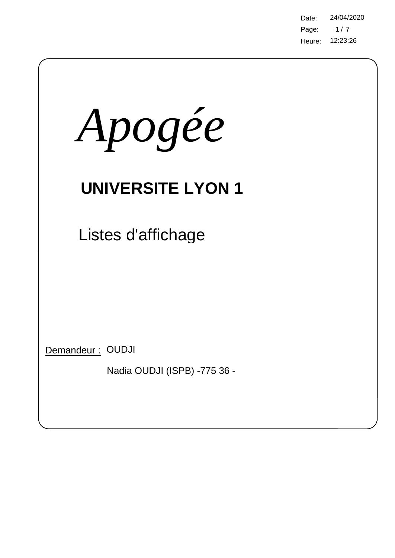Page: Heure: 12:23:26 Date: 24/04/2020  $1/7$ 

| Apogée                                           |
|--------------------------------------------------|
| <b>UNIVERSITE LYON 1</b>                         |
| Listes d'affichage                               |
| Demandeur: OUDJI<br>Nadia OUDJI (ISPB) -775 36 - |

 $\bigg)$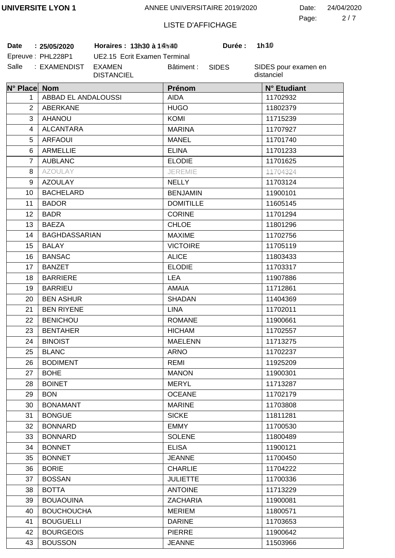2 7 Page: Date: 24/04/2020

# LISTE D'AFFICHAGE

**Date 25/05/2020 Horaires : 13h30 à 15h00 Durée : 1h30**

| Date | : 25/05/2020      |
|------|-------------------|
|      | Epreuve: PHL228P1 |

UE2.15 Ecrit Examen Terminal Salle : EXAMENDIST EXAMEN DISTANCIEL Bâtiment :

SIDES

**Durée:** 

| N° Place Nom   |                      | Prénom           | N° Etudiant |
|----------------|----------------------|------------------|-------------|
| 1              | ABBAD EL ANDALOUSSI  | <b>AIDA</b>      | 11702932    |
| 2              | <b>ABERKANE</b>      | <b>HUGO</b>      | 11802379    |
| 3              | <b>AHANOU</b>        | <b>KOMI</b>      | 11715239    |
| 4              | <b>ALCANTARA</b>     | <b>MARINA</b>    | 11707927    |
| 5              | <b>ARFAOUI</b>       | <b>MANEL</b>     | 11701740    |
| 6              | <b>ARMELLIE</b>      | <b>ELINA</b>     | 11701233    |
| $\overline{7}$ | <b>AUBLANC</b>       | <b>ELODIE</b>    | 11701625    |
| 8              | <b>AZOULAY</b>       | <b>JEREMIE</b>   | 11704324    |
| 9              | <b>AZOULAY</b>       | <b>NELLY</b>     | 11703124    |
| 10             | <b>BACHELARD</b>     | <b>BENJAMIN</b>  | 11900101    |
| 11             | <b>BADOR</b>         | <b>DOMITILLE</b> | 11605145    |
| 12             | <b>BADR</b>          | <b>CORINE</b>    | 11701294    |
| 13             | <b>BAEZA</b>         | <b>CHLOE</b>     | 11801296    |
| 14             | <b>BAGHDASSARIAN</b> | <b>MAXIME</b>    | 11702756    |
| 15             | <b>BALAY</b>         | <b>VICTOIRE</b>  | 11705119    |
| 16             | <b>BANSAC</b>        | <b>ALICE</b>     | 11803433    |
| 17             | <b>BANZET</b>        | <b>ELODIE</b>    | 11703317    |
| 18             | <b>BARRIERE</b>      | <b>LEA</b>       | 11907886    |
| 19             | <b>BARRIEU</b>       | <b>AMAIA</b>     | 11712861    |
| 20             | <b>BEN ASHUR</b>     | <b>SHADAN</b>    | 11404369    |
| 21             | <b>BEN RIYENE</b>    | <b>LINA</b>      | 11702011    |
| 22             | <b>BENICHOU</b>      | <b>ROMANE</b>    | 11900661    |
| 23             | <b>BENTAHER</b>      | <b>HICHAM</b>    | 11702557    |
| 24             | <b>BINOIST</b>       | <b>MAELENN</b>   | 11713275    |
| 25             | <b>BLANC</b>         | <b>ARNO</b>      | 11702237    |
| 26             | <b>BODIMENT</b>      | <b>REMI</b>      | 11925209    |
| 27             | <b>BOHE</b>          | <b>MANON</b>     | 11900301    |
| 28             | <b>BOINET</b>        | <b>MERYL</b>     | 11713287    |
| 29             | <b>BON</b>           | <b>OCEANE</b>    | 11702179    |
| 30             | <b>BONAMANT</b>      | <b>MARINE</b>    | 11703808    |
| 31             | <b>BONGUE</b>        | <b>SICKE</b>     | 11811281    |
| 32             | <b>BONNARD</b>       | <b>EMMY</b>      | 11700530    |
| 33             | <b>BONNARD</b>       | <b>SOLENE</b>    | 11800489    |
| 34             | <b>BONNET</b>        | <b>ELISA</b>     | 11900121    |
| 35             | <b>BONNET</b>        | <b>JEANNE</b>    | 11700450    |
| 36             | <b>BORIE</b>         | <b>CHARLIE</b>   | 11704222    |
| 37             | <b>BOSSAN</b>        | <b>JULIETTE</b>  | 11700336    |
| 38             | <b>BOTTA</b>         | <b>ANTOINE</b>   | 11713229    |
| 39             | <b>BOUAOUINA</b>     | <b>ZACHARIA</b>  | 11900081    |
| 40             | <b>BOUCHOUCHA</b>    | <b>MERIEM</b>    | 11800571    |
| 41             | <b>BOUGUELLI</b>     | <b>DARINE</b>    | 11703653    |
| 42             | <b>BOURGEOIS</b>     | <b>PIERRE</b>    | 11900642    |
| 43             | <b>BOUSSON</b>       | <b>JEANNE</b>    | 11503966    |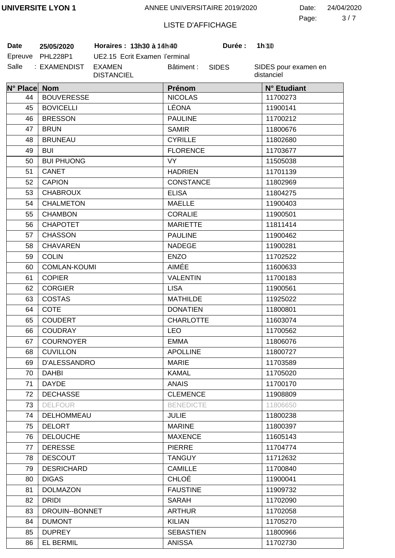3 7 Page: Date: 24/04/2020

# LISTE D'AFFICHAGE

**Date 25/05/2020 Horaires : 13h30 à 15h00 Durée : 1h30**

| Date    | 25/05/2020      |
|---------|-----------------|
| Epreuve | <b>PHL228P1</b> |
| Salle   | : EXAMENDIST    |

UE2.15 Ecrit Examen Terminal EXAMEN DISTANCIEL Bâtiment :

SIDES

**Durée:** 

| N° Place Nom |                     | Prénom           | N° Etudiant |
|--------------|---------------------|------------------|-------------|
| 44           | <b>BOUVERESSE</b>   | <b>NICOLAS</b>   | 11700273    |
| 45           | <b>BOVICELLI</b>    | LÉONA            | 11900141    |
| 46           | <b>BRESSON</b>      | <b>PAULINE</b>   | 11700212    |
| 47           | <b>BRUN</b>         | <b>SAMIR</b>     | 11800676    |
| 48           | <b>BRUNEAU</b>      | <b>CYRILLE</b>   | 11802680    |
| 49           | <b>BUI</b>          | <b>FLORENCE</b>  | 11703677    |
| 50           | <b>BUI PHUONG</b>   | <b>VY</b>        | 11505038    |
| 51           | CANET               | <b>HADRIEN</b>   | 11701139    |
| 52           | <b>CAPION</b>       | <b>CONSTANCE</b> | 11802969    |
| 53           | <b>CHABROUX</b>     | <b>ELISA</b>     | 11804275    |
| 54           | <b>CHALMETON</b>    | <b>MAELLE</b>    | 11900403    |
| 55           | <b>CHAMBON</b>      | <b>CORALIE</b>   | 11900501    |
| 56           | <b>CHAPOTET</b>     | <b>MARIETTE</b>  | 11811414    |
| 57           | <b>CHASSON</b>      | <b>PAULINE</b>   | 11900462    |
| 58           | <b>CHAVAREN</b>     | <b>NADEGE</b>    | 11900281    |
| 59           | <b>COLIN</b>        | <b>ENZO</b>      | 11702522    |
| 60           | <b>COMLAN-KOUMI</b> | <b>AIMÉE</b>     | 11600633    |
| 61           | <b>COPIER</b>       | <b>VALENTIN</b>  | 11700183    |
| 62           | <b>CORGIER</b>      | <b>LISA</b>      | 11900561    |
| 63           | <b>COSTAS</b>       | <b>MATHILDE</b>  | 11925022    |
| 64           | <b>COTE</b>         | <b>DONATIEN</b>  | 11800801    |
| 65           | <b>COUDERT</b>      | <b>CHARLOTTE</b> | 11603074    |
| 66           | <b>COUDRAY</b>      | <b>LEO</b>       | 11700562    |
| 67           | <b>COURNOYER</b>    | EMMA             | 11806076    |
| 68           | <b>CUVILLON</b>     | <b>APOLLINE</b>  | 11800727    |
| 69           | <b>D'ALESSANDRO</b> | <b>MARIE</b>     | 11703589    |
| 70           | <b>DAHBI</b>        | <b>KAMAL</b>     | 11705020    |
| 71           | <b>DAYDE</b>        | <b>ANAIS</b>     | 11700170    |
| 72           | <b>DECHASSE</b>     | <b>CLEMENCE</b>  | 11908809    |
| 73           | <b>DELFOUR</b>      | <b>BENEDICTE</b> | 11806650    |
| 74           | DELHOMMEAU          | <b>JULIE</b>     | 11800238    |
| 75           | <b>DELORT</b>       | <b>MARINE</b>    | 11800397    |
| 76           | <b>DELOUCHE</b>     | <b>MAXENCE</b>   | 11605143    |
| 77           | <b>DERESSE</b>      | <b>PIERRE</b>    | 11704774    |
| 78           | <b>DESCOUT</b>      | <b>TANGUY</b>    | 11712632    |
| 79           | <b>DESRICHARD</b>   | <b>CAMILLE</b>   | 11700840    |
| 80           | <b>DIGAS</b>        | <b>CHLOÉ</b>     | 11900041    |
| 81           | <b>DOLMAZON</b>     | <b>FAUSTINE</b>  | 11909732    |
| 82           | <b>DRIDI</b>        | <b>SARAH</b>     | 11702090    |
| 83           | DROUIN--BONNET      | <b>ARTHUR</b>    | 11702058    |
| 84           | <b>DUMONT</b>       | <b>KILIAN</b>    | 11705270    |
| 85           | <b>DUPREY</b>       | <b>SEBASTIEN</b> | 11800966    |
| 86           | <b>EL BERMIL</b>    | <b>ANISSA</b>    | 11702730    |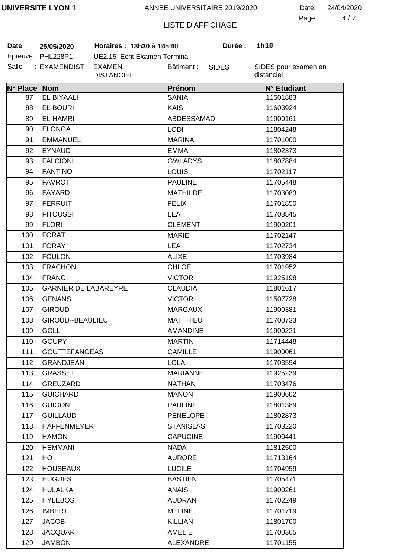4 7 Page: Date: 24/04/2020

# LISTE D'AFFICHAGE

**Date 25/05/2020 Horaires : 13h30 à 15h00 Durée : 1h30**

| Date    | 25/05/2020   |
|---------|--------------|
| Epreuve | PHL228P1     |
| Salle   | : EXAMENDIST |

UE2.15 Ecrit Examen Terminal EXAMEN DISTANCIEL Bâtiment :

SIDES

**Durée:** 

| N° Place Nom |                             | Prénom           | N° Etudiant |
|--------------|-----------------------------|------------------|-------------|
| 87           | EL BIYAALI                  | <b>SANIA</b>     | 11501883    |
| 88           | <b>EL BOURI</b>             | <b>KAIS</b>      | 11603924    |
| 89           | <b>EL HAMRI</b>             | ABDESSAMAD       | 11900161    |
| 90           | <b>ELONGA</b>               | <b>LODI</b>      | 11804248    |
| 91           | <b>EMMANUEL</b>             | <b>MARINA</b>    | 11701000    |
| 92           | <b>EYNAUD</b>               | <b>EMMA</b>      | 11802373    |
| 93           | <b>FALCIONI</b>             | <b>GWLADYS</b>   | 11807884    |
| 94           | <b>FANTINO</b>              | <b>LOUIS</b>     | 11702117    |
| 95           | <b>FAVROT</b>               | <b>PAULINE</b>   | 11705448    |
| 96           | <b>FAYARD</b>               | <b>MATHILDE</b>  | 11703083    |
| 97           | <b>FERRUIT</b>              | <b>FELIX</b>     | 11701850    |
| 98           | <b>FITOUSSI</b>             | <b>LEA</b>       | 11703545    |
| 99           | <b>FLORI</b>                | <b>CLEMENT</b>   | 11900201    |
| 100          | <b>FORAT</b>                | <b>MARIE</b>     | 11702147    |
| 101          | <b>FORAY</b>                | <b>LEA</b>       | 11702734    |
| 102          | <b>FOULON</b>               | <b>ALIXE</b>     | 11703984    |
| 103          | <b>FRACHON</b>              | <b>CHLOE</b>     | 11701952    |
| 104          | <b>FRANC</b>                | <b>VICTOR</b>    | 11925198    |
| 105          | <b>GARNIER DE LABAREYRE</b> | <b>CLAUDIA</b>   | 11801617    |
| 106          | <b>GENANS</b>               | <b>VICTOR</b>    | 11507728    |
| 107          | <b>GIROUD</b>               | <b>MARGAUX</b>   | 11900381    |
| 108          | GIROUD--BEAULIEU            | <b>MATTHIEU</b>  | 11700733    |
| 109          | <b>GOLL</b>                 | <b>AMANDINE</b>  | 11900221    |
| 110          | <b>GOUPY</b>                | <b>MARTIN</b>    | 11714448    |
| 111          | <b>GOUTTEFANGEAS</b>        | <b>CAMILLE</b>   | 11900061    |
| 112          | <b>GRANDJEAN</b>            | <b>LOLA</b>      | 11703594    |
| 113          | <b>GRASSET</b>              | <b>MARIANNE</b>  | 11925239    |
| 114          | GREUZARD                    | <b>NATHAN</b>    | 11703476    |
| 115          | <b>GUICHARD</b>             | <b>MANON</b>     | 11900602    |
| 116          | <b>GUIGON</b>               | <b>PAULINE</b>   | 11801389    |
| 117          | <b>GUILLAUD</b>             | <b>PENELOPE</b>  | 11802873    |
| 118          | <b>HAFFENMEYER</b>          | <b>STANISLAS</b> | 11703220    |
| 119          | <b>HAMON</b>                | <b>CAPUCINE</b>  | 11900441    |
| 120          | <b>HEMMANI</b>              | <b>NADA</b>      | 11812500    |
| 121          | HO                          | <b>AURORE</b>    | 11713164    |
| 122          | <b>HOUSEAUX</b>             | <b>LUCILE</b>    | 11704959    |
| 123          | <b>HUGUES</b>               | <b>BASTIEN</b>   | 11705471    |
| 124          | <b>HULALKA</b>              | <b>ANAIS</b>     | 11900261    |
| 125          | <b>HYLEBOS</b>              | <b>AUDRAN</b>    | 11702249    |
| 126          | <b>IMBERT</b>               | <b>MELINE</b>    | 11701719    |
| 127          | <b>JACOB</b>                | <b>KILLIAN</b>   | 11801700    |
| 128          | <b>JACQUART</b>             | <b>AMELIE</b>    | 11700365    |
| 129          | <b>JAMBON</b>               | ALEXANDRE        | 11701155    |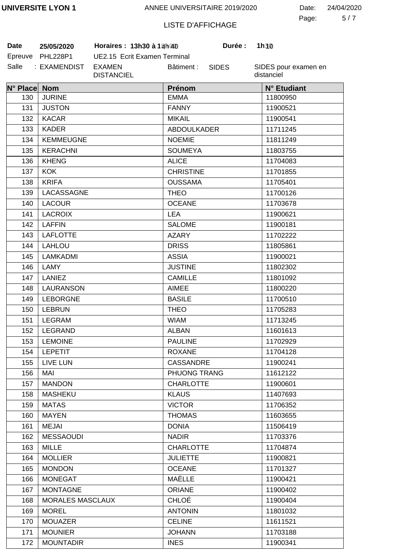5 7 Page: Date: 24/04/2020

# LISTE D'AFFICHAGE

SIDES

**Durée:** 

**Date 25/05/2020 Horaires : 13h30 à 15h00 Durée : 1h30**

| Date    | 25/05/2020   |
|---------|--------------|
| Epreuve | PHL228P1     |
| Salle   | : EXAMENDIST |

UE2.15 Ecrit Examen Terminal EXAMEN DISTANCIEL Bâtiment :

| N° Place Nom |                         | Prénom             | N° Etudiant |
|--------------|-------------------------|--------------------|-------------|
| 130          | <b>JURINE</b>           | <b>EMMA</b>        | 11800950    |
| 131          | <b>JUSTON</b>           | <b>FANNY</b>       | 11900521    |
| 132          | <b>KACAR</b>            | <b>MIKAIL</b>      | 11900541    |
| 133          | <b>KADER</b>            | <b>ABDOULKADER</b> | 11711245    |
| 134          | <b>KEMMEUGNE</b>        | <b>NOEMIE</b>      | 11811249    |
| 135          | <b>KERACHNI</b>         | <b>SOUMEYA</b>     | 11803755    |
| 136          | <b>KHENG</b>            | <b>ALICE</b>       | 11704083    |
| 137          | <b>KOK</b>              | <b>CHRISTINE</b>   | 11701855    |
| 138          | <b>KRIFA</b>            | <b>OUSSAMA</b>     | 11705401    |
| 139          | LACASSAGNE              | <b>THEO</b>        | 11700126    |
| 140          | <b>LACOUR</b>           | <b>OCEANE</b>      | 11703678    |
| 141          | <b>LACROIX</b>          | <b>LEA</b>         | 11900621    |
| 142          | <b>LAFFIN</b>           | <b>SALOME</b>      | 11900181    |
| 143          | <b>LAFLOTTE</b>         | <b>AZARY</b>       | 11702222    |
| 144          | <b>LAHLOU</b>           | <b>DRISS</b>       | 11805861    |
| 145          | LAMKADMI                | <b>ASSIA</b>       | 11900021    |
| 146          | LAMY                    | <b>JUSTINE</b>     | 11802302    |
| 147          | <b>LANIEZ</b>           | <b>CAMILLE</b>     | 11801092    |
| 148          | LAURANSON               | <b>AIMEE</b>       | 11800220    |
| 149          | <b>LEBORGNE</b>         | <b>BASILE</b>      | 11700510    |
| 150          | <b>LEBRUN</b>           | <b>THEO</b>        | 11705283    |
| 151          | LEGRAM                  | <b>WIAM</b>        | 11713245    |
| 152          | LEGRAND                 | <b>ALBAN</b>       | 11601613    |
| 153          | <b>LEMOINE</b>          | <b>PAULINE</b>     | 11702929    |
| 154          | <b>LEPETIT</b>          | <b>ROXANE</b>      | 11704128    |
| 155          | <b>LIVE LUN</b>         | CASSANDRE          | 11900241    |
| 156          | MAI                     | PHUONG TRANG       | 11612122    |
| 157          | <b>MANDON</b>           | <b>CHARLOTTE</b>   | 11900601    |
| 158          | <b>MASHEKU</b>          | <b>KLAUS</b>       | 11407693    |
| 159          | <b>MATAS</b>            | <b>VICTOR</b>      | 11706352    |
| 160          | <b>MAYEN</b>            | <b>THOMAS</b>      | 11603655    |
| 161          | <b>MEJAI</b>            | <b>DONIA</b>       | 11506419    |
| 162          | <b>MESSAOUDI</b>        | <b>NADIR</b>       | 11703376    |
| 163          | <b>MILLE</b>            | <b>CHARLOTTE</b>   | 11704874    |
| 164          | <b>MOLLIER</b>          | <b>JULIETTE</b>    | 11900821    |
| 165          | <b>MONDON</b>           | <b>OCEANE</b>      | 11701327    |
| 166          | <b>MONEGAT</b>          | MAËLLE             | 11900421    |
| 167          | <b>MONTAGNE</b>         | ORIANE             | 11900402    |
| 168          | <b>MORALES MASCLAUX</b> | <b>CHLOÉ</b>       | 11900404    |
| 169          | <b>MOREL</b>            | <b>ANTONIN</b>     | 11801032    |
| 170          | <b>MOUAZER</b>          | <b>CELINE</b>      | 11611521    |
| 171          | <b>MOUNIER</b>          | <b>JOHANN</b>      | 11703188    |
| 172          | <b>MOUNTADIR</b>        | <b>INES</b>        | 11900341    |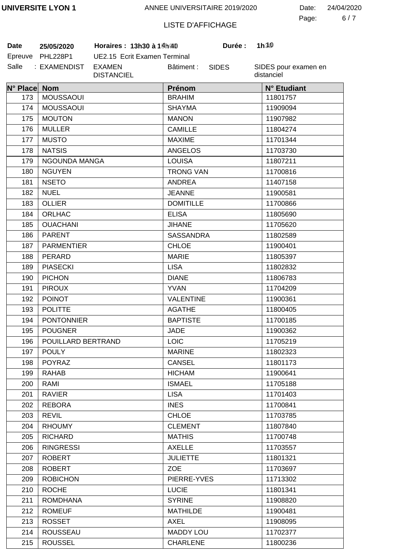6 7 Page: Date: 24/04/2020

# LISTE D'AFFICHAGE

**Date 25/05/2020 Horaires : 13h30 à 15h00 Durée : 1h30**

| Date    | 25/05/2020      |
|---------|-----------------|
| Epreuve | <b>PHL228P1</b> |
| Salle   | : EXAMENDIST    |

UE2.15 Ecrit Examen Terminal EXAMEN DISTANCIEL Bâtiment :

SIDES

**Durée:** 

| N° Place Nom |                    | Prénom           | N° Etudiant |
|--------------|--------------------|------------------|-------------|
| 173          | <b>MOUSSAOUI</b>   | <b>BRAHIM</b>    | 11801757    |
| 174          | <b>MOUSSAOUI</b>   | <b>SHAYMA</b>    | 11909094    |
| 175          | <b>MOUTON</b>      | <b>MANON</b>     | 11907982    |
| 176          | <b>MULLER</b>      | <b>CAMILLE</b>   | 11804274    |
| 177          | <b>MUSTO</b>       | <b>MAXIME</b>    | 11701344    |
| 178          | <b>NATSIS</b>      | <b>ANGELOS</b>   | 11703730    |
| 179          | NGOUNDA MANGA      | <b>LOUISA</b>    | 11807211    |
| 180          | <b>NGUYEN</b>      | <b>TRONG VAN</b> | 11700816    |
| 181          | <b>NSETO</b>       | <b>ANDREA</b>    | 11407158    |
| 182          | <b>NUEL</b>        | <b>JEANNE</b>    | 11900581    |
| 183          | <b>OLLIER</b>      | <b>DOMITILLE</b> | 11700866    |
| 184          | ORLHAC             | <b>ELISA</b>     | 11805690    |
| 185          | <b>OUACHANI</b>    | <b>JIHANE</b>    | 11705620    |
| 186          | <b>PARENT</b>      | <b>SASSANDRA</b> | 11802589    |
| 187          | <b>PARMENTIER</b>  | <b>CHLOE</b>     | 11900401    |
| 188          | PERARD             | <b>MARIE</b>     | 11805397    |
| 189          | <b>PIASECKI</b>    | <b>LISA</b>      | 11802832    |
| 190          | <b>PICHON</b>      | <b>DIANE</b>     | 11806783    |
| 191          | <b>PIROUX</b>      | <b>YVAN</b>      | 11704209    |
| 192          | <b>POINOT</b>      | <b>VALENTINE</b> | 11900361    |
| 193          | <b>POLITTE</b>     | <b>AGATHE</b>    | 11800405    |
| 194          | <b>PONTONNIER</b>  | <b>BAPTISTE</b>  | 11700185    |
| 195          | <b>POUGNER</b>     | <b>JADE</b>      | 11900362    |
| 196          | POUILLARD BERTRAND | <b>LOIC</b>      | 11705219    |
| 197          | <b>POULY</b>       | <b>MARINE</b>    | 11802323    |
| 198          | POYRAZ             | <b>CANSEL</b>    | 11801173    |
| 199          | <b>RAHAB</b>       | <b>HICHAM</b>    | 11900641    |
| 200          | RAMI               | <b>ISMAEL</b>    | 11705188    |
| 201          | <b>RAVIER</b>      | <b>LISA</b>      | 11701403    |
| 202          | <b>REBORA</b>      | <b>INES</b>      | 11700841    |
| 203          | <b>REVIL</b>       | <b>CHLOE</b>     | 11703785    |
| 204          | <b>RHOUMY</b>      | <b>CLEMENT</b>   | 11807840    |
| 205          | <b>RICHARD</b>     | <b>MATHIS</b>    | 11700748    |
| 206          | <b>RINGRESSI</b>   | <b>AXELLE</b>    | 11703557    |
| 207          | <b>ROBERT</b>      | <b>JULIETTE</b>  | 11801321    |
| 208          | <b>ROBERT</b>      | <b>ZOE</b>       | 11703697    |
| 209          | <b>ROBICHON</b>    | PIERRE-YVES      | 11713302    |
| 210          | <b>ROCHE</b>       | <b>LUCIE</b>     | 11801341    |
| 211          | <b>ROMDHANA</b>    | <b>SYRINE</b>    | 11908820    |
| 212          | <b>ROMEUF</b>      | <b>MATHILDE</b>  | 11900481    |
| 213          | <b>ROSSET</b>      | AXEL             | 11908095    |
| 214          | <b>ROUSSEAU</b>    | <b>MADDY LOU</b> | 11702377    |
| 215          | <b>ROUSSEL</b>     | <b>CHARLENE</b>  | 11800236    |